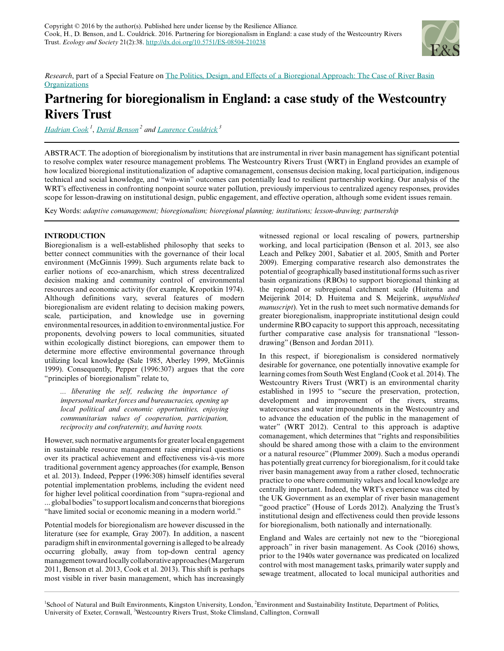

*Research*, part of a Special Feature on [The Politics, Design, and Effects of a Bioregional Approach: The Case of River Basin](http://www.ecologyandsociety.org/viewissue.php?sf=116) **[Organizations](http://www.ecologyandsociety.org/viewissue.php?sf=116)** 

# **Partnering for bioregionalism in England: a case study of the Westcountry Rivers Trust**

*[Hadrian Cook](mailto:h.cook@kingston.ac.uk)<sup>1</sup>* , *[David Benson](mailto:d.i.benson@exeter.ac.uk)<sup>2</sup> and [Laurence Couldrick](mailto:Laurence@wrt.org.uk)<sup>3</sup>*

ABSTRACT. The adoption of bioregionalism by institutions that are instrumental in river basin management has significant potential to resolve complex water resource management problems. The Westcountry Rivers Trust (WRT) in England provides an example of how localized bioregional institutionalization of adaptive comanagement, consensus decision making, local participation, indigenous technical and social knowledge, and "win-win" outcomes can potentially lead to resilient partnership working. Our analysis of the WRT's effectiveness in confronting nonpoint source water pollution, previously impervious to centralized agency responses, provides scope for lesson-drawing on institutional design, public engagement, and effective operation, although some evident issues remain.

Key Words: *adaptive comanagement; bioregionalism; bioregional planning; institutions; lesson-drawing; partnership*

# **INTRODUCTION**

Bioregionalism is a well-established philosophy that seeks to better connect communities with the governance of their local environment (McGinnis 1999). Such arguments relate back to earlier notions of eco-anarchism, which stress decentralized decision making and community control of environmental resources and economic activity (for example, Kropotkin 1974). Although definitions vary, several features of modern bioregionalism are evident relating to decision making powers, scale, participation, and knowledge use in governing environmental resources, in addition to environmental justice. For proponents, devolving powers to local communities, situated within ecologically distinct bioregions, can empower them to determine more effective environmental governance through utilizing local knowledge (Sale 1985, Aberley 1999, McGinnis 1999). Consequently, Pepper (1996:307) argues that the core "principles of bioregionalism" relate to,

*... liberating the self, reducing the importance of impersonal market forces and bureaucracies, opening up local political and economic opportunities, enjoying communitarian values of cooperation, participation, reciprocity and confraternity, and having roots.*

However, such normative arguments for greater local engagement in sustainable resource management raise empirical questions over its practical achievement and effectiveness vis-à-vis more traditional government agency approaches (for example, Benson et al. 2013). Indeed, Pepper (1996:308) himself identifies several potential implementation problems, including the evident need for higher level political coordination from "supra-regional and ... global bodies" to support localism and concerns that bioregions "have limited social or economic meaning in a modern world."

Potential models for bioregionalism are however discussed in the literature (see for example, Gray 2007). In addition, a nascent paradigm shift in environmental governing is alleged to be already occurring globally, away from top-down central agency management toward locally collaborative approaches (Margerum 2011, Benson et al. 2013, Cook et al. 2013). This shift is perhaps most visible in river basin management, which has increasingly

witnessed regional or local rescaling of powers, partnership working, and local participation (Benson et al. 2013, see also Leach and Pelkey 2001, Sabatier et al. 2005, Smith and Porter 2009). Emerging comparative research also demonstrates the potential of geographically based institutional forms such as river basin organizations (RBOs) to support bioregional thinking at the regional or subregional catchment scale (Huitema and Meijerink 2014; D. Huitema and S. Meijerink, *unpublished manuscript*). Yet in the rush to meet such normative demands for greater bioregionalism, inappropriate institutional design could undermine RBO capacity to support this approach, necessitating further comparative case analysis for transnational "lessondrawing" (Benson and Jordan 2011).

In this respect, if bioregionalism is considered normatively desirable for governance, one potentially innovative example for learning comes from South West England (Cook et al. 2014). The Westcountry Rivers Trust (WRT) is an environmental charity established in 1995 to "secure the preservation, protection, development and improvement of the rivers, streams, watercourses and water impoundments in the Westcountry and to advance the education of the public in the management of water" (WRT 2012). Central to this approach is adaptive comanagement, which determines that "rights and responsibilities should be shared among those with a claim to the environment or a natural resource" (Plummer 2009). Such a modus operandi has potentially great currency for bioregionalism, for it could take river basin management away from a rather closed, technocratic practice to one where community values and local knowledge are centrally important. Indeed, the WRT's experience was cited by the UK Government as an exemplar of river basin management "good practice" (House of Lords 2012). Analyzing the Trust's institutional design and effectiveness could then provide lessons for bioregionalism, both nationally and internationally.

England and Wales are certainly not new to the "bioregional approach" in river basin management. As Cook (2016) shows, prior to the 1940s water governance was predicated on localized control with most management tasks, primarily water supply and sewage treatment, allocated to local municipal authorities and

<sup>1</sup>School of Natural and Built Environments, Kingston University, London, <sup>2</sup>Environment and Sustainability Institute, Department of Politics, University of Exeter, Cornwall, <sup>3</sup>Westcountry Rivers Trust, Stoke Climsland, Callington, Cornwall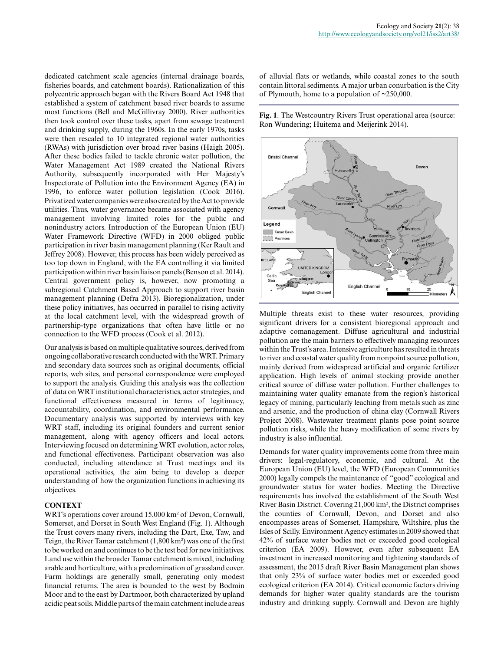dedicated catchment scale agencies (internal drainage boards, fisheries boards, and catchment boards). Rationalization of this polycentric approach began with the Rivers Board Act 1948 that established a system of catchment based river boards to assume most functions (Bell and McGillivray 2000). River authorities then took control over these tasks, apart from sewage treatment and drinking supply, during the 1960s. In the early 1970s, tasks were then rescaled to 10 integrated regional water authorities (RWAs) with jurisdiction over broad river basins (Haigh 2005). After these bodies failed to tackle chronic water pollution, the Water Management Act 1989 created the National Rivers Authority, subsequently incorporated with Her Majesty's Inspectorate of Pollution into the Environment Agency (EA) in 1996, to enforce water pollution legislation (Cook 2016). Privatized water companies were also created by the Act to provide utilities. Thus, water governance became associated with agency management involving limited roles for the public and nonindustry actors. Introduction of the European Union (EU) Water Framework Directive (WFD) in 2000 obliged public participation in river basin management planning (Ker Rault and Jeffrey 2008). However, this process has been widely perceived as too top down in England, with the EA controlling it via limited participation within river basin liaison panels (Benson et al. 2014). Central government policy is, however, now promoting a subregional Catchment Based Approach to support river basin management planning (Defra 2013). Bioregionalization, under these policy initiatives, has occurred in parallel to rising activity at the local catchment level, with the widespread growth of partnership-type organizations that often have little or no connection to the WFD process (Cook et al. 2012).

Our analysis is based on multiple qualitative sources, derived from ongoing collaborative research conducted with the WRT. Primary and secondary data sources such as original documents, official reports, web sites, and personal correspondence were employed to support the analysis. Guiding this analysis was the collection of data on WRT institutional characteristics, actor strategies, and functional effectiveness measured in terms of legitimacy, accountability, coordination, and environmental performance. Documentary analysis was supported by interviews with key WRT staff, including its original founders and current senior management, along with agency officers and local actors. Interviewing focused on determining WRT evolution, actor roles, and functional effectiveness. Participant observation was also conducted, including attendance at Trust meetings and its operational activities, the aim being to develop a deeper understanding of how the organization functions in achieving its objectives.

## **CONTEXT**

WRT's operations cover around 15,000 km² of Devon, Cornwall, Somerset, and Dorset in South West England (Fig. 1). Although the Trust covers many rivers, including the Dart, Exe, Taw, and Teign, the River Tamar catchment (1,800 km²) was one of the first to be worked on and continues to be the test bed for new initiatives. Land use within the broader Tamar catchment is mixed, including arable and horticulture, with a predomination of grassland cover. Farm holdings are generally small, generating only modest financial returns. The area is bounded to the west by Bodmin Moor and to the east by Dartmoor, both characterized by upland acidic peat soils. Middle parts of the main catchment include areas of alluvial flats or wetlands, while coastal zones to the south contain littoral sediments. A major urban conurbation is the City of Plymouth, home to a population of ~250,000.

**Fig. 1**. The Westcountry Rivers Trust operational area (source: Ron Wundering; Huitema and Meijerink 2014).



Multiple threats exist to these water resources, providing significant drivers for a consistent bioregional approach and adaptive comanagement. Diffuse agricultural and industrial pollution are the main barriers to effectively managing resources within the Trust's area. Intensive agriculture has resulted in threats to river and coastal water quality from nonpoint source pollution, mainly derived from widespread artificial and organic fertilizer application. High levels of animal stocking provide another critical source of diffuse water pollution. Further challenges to maintaining water quality emanate from the region's historical legacy of mining, particularly leaching from metals such as zinc and arsenic, and the production of china clay (Cornwall Rivers Project 2008). Wastewater treatment plants pose point source pollution risks, while the heavy modification of some rivers by industry is also influential.

Demands for water quality improvements come from three main drivers: legal-regulatory, economic, and cultural. At the European Union (EU) level, the WFD (European Communities 2000) legally compels the maintenance of "good" ecological and groundwater status for water bodies. Meeting the Directive requirements has involved the establishment of the South West River Basin District. Covering 21,000 km², the District comprises the counties of Cornwall, Devon, and Dorset and also encompasses areas of Somerset, Hampshire, Wiltshire, plus the Isles of Scilly. Environment Agency estimates in 2009 showed that 42% of surface water bodies met or exceeded good ecological criterion (EA 2009). However, even after subsequent EA investment in increased monitoring and tightening standards of assessment, the 2015 draft River Basin Management plan shows that only 23% of surface water bodies met or exceeded good ecological criterion (EA 2014). Critical economic factors driving demands for higher water quality standards are the tourism industry and drinking supply. Cornwall and Devon are highly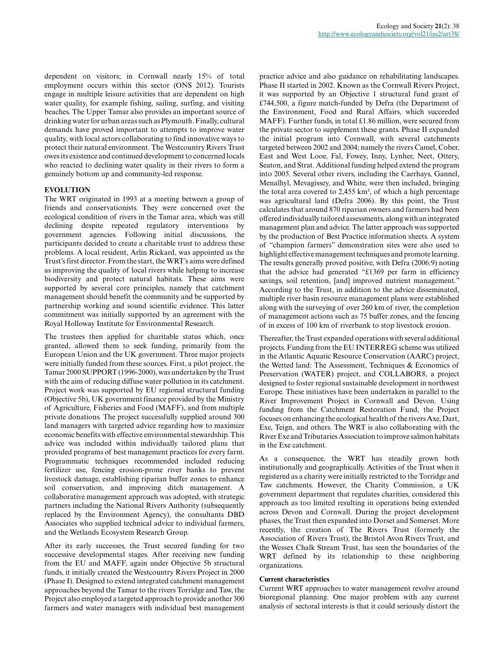dependent on visitors; in Cornwall nearly 15% of total employment occurs within this sector (ONS 2012). Tourists engage in multiple leisure activities that are dependent on high water quality, for example fishing, sailing, surfing, and visiting beaches. The Upper Tamar also provides an important source of drinking water for urban areas such as Plymouth. Finally, cultural demands have proved important to attempts to improve water quality, with local actors collaborating to find innovative ways to protect their natural environment. The Westcountry Rivers Trust owes its existence and continued development to concerned locals who reacted to declining water quality in their rivers to form a genuinely bottom up and community-led response.

## **EVOLUTION**

The WRT originated in 1993 at a meeting between a group of friends and conservationists. They were concerned over the ecological condition of rivers in the Tamar area, which was still declining despite repeated regulatory interventions by government agencies. Following initial discussions, the participants decided to create a charitable trust to address these problems. A local resident, Arlin Rickard, was appointed as the Trust's first director. From the start, the WRT's aims were defined as improving the quality of local rivers while helping to increase biodiversity and protect natural habitats. These aims were supported by several core principles, namely that catchment management should benefit the community and be supported by partnership working and sound scientific evidence. This latter commitment was initially supported by an agreement with the Royal Holloway Institute for Environmental Research.

The trustees then applied for charitable status which, once granted, allowed them to seek funding, primarily from the European Union and the UK government. Three major projects were initially funded from these sources. First, a pilot project, the Tamar 2000 SUPPORT (1996-2000), was undertaken by the Trust with the aim of reducing diffuse water pollution in its catchment. Project work was supported by EU regional structural funding (Objective 5b), UK government finance provided by the Ministry of Agriculture, Fisheries and Food (MAFF), and from multiple private donations. The project successfully supplied around 300 land managers with targeted advice regarding how to maximize economic benefits with effective environmental stewardship. This advice was included within individually tailored plans that provided programs of best management practices for every farm. Programmatic techniques recommended included reducing fertilizer use, fencing erosion-prone river banks to prevent livestock damage, establishing riparian buffer zones to enhance soil conservation, and improving ditch management. A collaborative management approach was adopted, with strategic partners including the National Rivers Authority (subsequently replaced by the Environment Agency), the consultants DBD Associates who supplied technical advice to individual farmers, and the Wetlands Ecosystem Research Group.

After its early successes, the Trust secured funding for two successive developmental stages. After receiving new funding from the EU and MAFF, again under Objective 5b structural funds, it initially created the Westcountry Rivers Project in 2000 (Phase I). Designed to extend integrated catchment management approaches beyond the Tamar to the rivers Torridge and Taw, the Project also employed a targeted approach to provide another 300 farmers and water managers with individual best management practice advice and also guidance on rehabilitating landscapes. Phase II started in 2002. Known as the Cornwall Rivers Project, it was supported by an Objective 1 structural fund grant of £744,500, a figure match-funded by Defra (the Department of the Environment, Food and Rural Affairs, which succeeded MAFF). Further funds, in total £1.86 million, were secured from the private sector to supplement these grants. Phase II expanded the initial program into Cornwall, with several catchments targeted between 2002 and 2004; namely the rivers Camel, Cober, East and West Looe, Fal, Fowey, Inny, Lynher, Neet, Ottery, Seaton, and Strat. Additional funding helped extend the program into 2005. Several other rivers, including the Caerhays, Gannel, Menalhyl, Mevagissey, and White, were then included, bringing the total area covered to 2,455 km², of which a high percentage was agricultural land (Defra 2006). By this point, the Trust calculates that around 870 riparian owners and farmers had been offered individually tailored assessments, along with an integrated management plan and advice. The latter approach was supported by the production of Best Practice information sheets. A system of "champion farmers" demonstration sites were also used to highlight effective management techniques and promote learning. The results generally proved positive, with Defra (2006:9) noting that the advice had generated "£1369 per farm in efficiency savings, soil retention, [and] improved nutrient management." According to the Trust, in addition to the advice disseminated, multiple river basin resource management plans were established along with the surveying of over 260 km of river, the completion of management actions such as 75 buffer zones, and the fencing of in excess of 100 km of riverbank to stop livestock erosion.

Thereafter, the Trust expanded operations with several additional projects. Funding from the EU INTERREG scheme was utilized in the Atlantic Aquatic Resource Conservation (AARC) project, the Wetted land: The Assessment, Techniques & Economics of Preservation (WATER) project, and COLLABOR8, a project designed to foster regional sustainable development in northwest Europe. These initiatives have been undertaken in parallel to the River Improvement Project in Cornwall and Devon. Using funding from the Catchment Restoration Fund, the Project focuses on enhancing the ecological health of the rivers Axe, Dart, Exe, Teign, and others. The WRT is also collaborating with the River Exe and Tributaries Association to improve salmon habitats in the Exe catchment.

As a consequence, the WRT has steadily grown both institutionally and geographically. Activities of the Trust when it registered as a charity were initially restricted to the Torridge and Taw catchments. However, the Charity Commission, a UK government department that regulates charities, considered this approach as too limited resulting in operations being extended across Devon and Cornwall. During the project development phases, the Trust then expanded into Dorset and Somerset. More recently, the creation of The Rivers Trust (formerly the Association of Rivers Trust), the Bristol Avon Rivers Trust, and the Wessex Chalk Stream Trust, has seen the boundaries of the WRT defined by its relationship to these neighboring organizations.

#### **Current characteristics**

Current WRT approaches to water management revolve around bioregional planning. One major problem with any current analysis of sectoral interests is that it could seriously distort the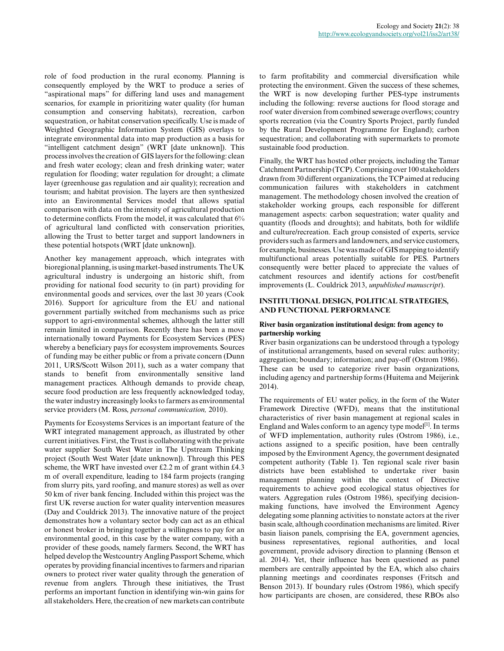role of food production in the rural economy. Planning is consequently employed by the WRT to produce a series of "aspirational maps" for differing land uses and management scenarios, for example in prioritizing water quality (for human consumption and conserving habitats), recreation, carbon sequestration, or habitat conservation specifically. Use is made of Weighted Geographic Information System (GIS) overlays to integrate environmental data into map production as a basis for "intelligent catchment design" (WRT [date unknown]). This process involves the creation of GIS layers for the following: clean and fresh water ecology; clean and fresh drinking water; water regulation for flooding; water regulation for drought; a climate layer (greenhouse gas regulation and air quality); recreation and tourism; and habitat provision. The layers are then synthesized into an Environmental Services model that allows spatial comparison with data on the intensity of agricultural production to determine conflicts. From the model, it was calculated that 6% of agricultural land conflicted with conservation priorities, allowing the Trust to better target and support landowners in these potential hotspots (WRT [date unknown]).

Another key management approach, which integrates with bioregional planning, is using market-based instruments. The UK agricultural industry is undergoing an historic shift, from providing for national food security to (in part) providing for environmental goods and services, over the last 30 years (Cook 2016). Support for agriculture from the EU and national government partially switched from mechanisms such as price support to agri-environmental schemes, although the latter still remain limited in comparison. Recently there has been a move internationally toward Payments for Ecosystem Services (PES) whereby a beneficiary pays for ecosystem improvements. Sources of funding may be either public or from a private concern (Dunn 2011, URS/Scott Wilson 2011), such as a water company that stands to benefit from environmentally sensitive land management practices. Although demands to provide cheap, secure food production are less frequently acknowledged today, the water industry increasingly looks to farmers as environmental service providers (M. Ross, *personal communication,* 2010).

Payments for Ecosystems Services is an important feature of the WRT integrated management approach, as illustrated by other current initiatives. First, the Trust is collaborating with the private water supplier South West Water in The Upstream Thinking project (South West Water [date unknown]). Through this PES scheme, the WRT have invested over £2.2 m of grant within £4.3 m of overall expenditure, leading to 184 farm projects (ranging from slurry pits, yard roofing, and manure stores) as well as over 50 km of river bank fencing. Included within this project was the first UK reverse auction for water quality intervention measures (Day and Couldrick 2013). The innovative nature of the project demonstrates how a voluntary sector body can act as an ethical or honest broker in bringing together a willingness to pay for an environmental good, in this case by the water company, with a provider of these goods, namely farmers. Second, the WRT has helped develop the Westcountry Angling Passport Scheme, which operates by providing financial incentives to farmers and riparian owners to protect river water quality through the generation of revenue from anglers. Through these initiatives, the Trust performs an important function in identifying win-win gains for all stakeholders. Here, the creation of new markets can contribute

to farm profitability and commercial diversification while protecting the environment. Given the success of these schemes, the WRT is now developing further PES-type instruments including the following: reverse auctions for flood storage and roof water diversion from combined sewerage overflows; country sports recreation (via the Country Sports Project, partly funded by the Rural Development Programme for England); carbon sequestration; and collaborating with supermarkets to promote sustainable food production.

Finally, the WRT has hosted other projects, including the Tamar Catchment Partnership (TCP). Comprising over 100 stakeholders drawn from 30 different organizations, the TCP aimed at reducing communication failures with stakeholders in catchment management. The methodology chosen involved the creation of stakeholder working groups, each responsible for different management aspects: carbon sequestration; water quality and quantity (floods and droughts); and habitats, both for wildlife and culture/recreation. Each group consisted of experts, service providers such as farmers and landowners, and service customers, for example, businesses. Use was made of GIS mapping to identify multifunctional areas potentially suitable for PES. Partners consequently were better placed to appreciate the values of catchment resources and identify actions for cost/benefit improvements (L. Couldrick 2013, *unpublished manuscript*).

## **INSTITUTIONAL DESIGN, POLITICAL STRATEGIES, AND FUNCTIONAL PERFORMANCE**

## **River basin organization institutional design: from agency to partnership working**

River basin organizations can be understood through a typology of institutional arrangements, based on several rules: authority; aggregation; boundary; information; and pay-off (Ostrom 1986). These can be used to categorize river basin organizations, including agency and partnership forms (Huitema and Meijerink 2014).

The requirements of EU water policy, in the form of the Water Framework Directive (WFD), means that the institutional characteristics of river basin management at regional scales in England and Wales conform to an agency type model $[1]$ . In terms of WFD implementation, authority rules (Ostrom 1986), i.e., actions assigned to a specific position, have been centrally imposed by the Environment Agency, the government designated competent authority (Table 1). Ten regional scale river basin districts have been established to undertake river basin management planning within the context of Directive requirements to achieve good ecological status objectives for waters. Aggregation rules (Ostrom 1986), specifying decisionmaking functions, have involved the Environment Agency delegating some planning activities to nonstate actors at the river basin scale, although coordination mechanisms are limited. River basin liaison panels, comprising the EA, government agencies, business representatives, regional authorities, and local government, provide advisory direction to planning (Benson et al. 2014). Yet, their influence has been questioned as panel members are centrally appointed by the EA, which also chairs planning meetings and coordinates responses (Fritsch and Benson 2013). If boundary rules (Ostrom 1986), which specify how participants are chosen, are considered, these RBOs also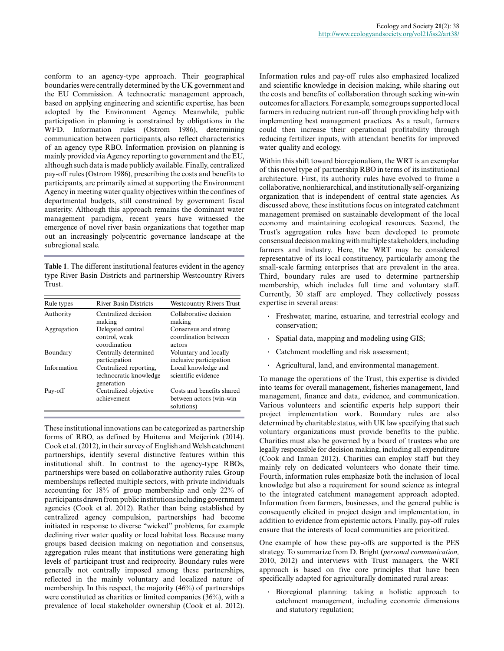conform to an agency-type approach. Their geographical boundaries were centrally determined by the UK government and the EU Commission. A technocratic management approach, based on applying engineering and scientific expertise, has been adopted by the Environment Agency. Meanwhile, public participation in planning is constrained by obligations in the WFD. Information rules (Ostrom 1986), determining communication between participants, also reflect characteristics of an agency type RBO. Information provision on planning is mainly provided via Agency reporting to government and the EU, although such data is made publicly available. Finally, centralized pay-off rules (Ostrom 1986), prescribing the costs and benefits to participants, are primarily aimed at supporting the Environment Agency in meeting water quality objectives within the confines of departmental budgets, still constrained by government fiscal austerity. Although this approach remains the dominant water management paradigm, recent years have witnessed the emergence of novel river basin organizations that together map out an increasingly polycentric governance landscape at the subregional scale.

**Table 1**. The different institutional features evident in the agency type River Basin Districts and partnership Westcountry Rivers Trust.

| Rule types  | <b>River Basin Districts</b> | <b>Westcountry Rivers Trust</b> |
|-------------|------------------------------|---------------------------------|
| Authority   | Centralized decision         | Collaborative decision          |
|             | making                       | making                          |
| Aggregation | Delegated central            | Consensus and strong            |
|             | control, weak                | coordination between            |
|             | coordination                 | actors                          |
| Boundary    | Centrally determined         | Voluntary and locally           |
|             | participation                | inclusive participation         |
| Information | Centralized reporting.       | Local knowledge and             |
|             | technocratic knowledge       | scientific evidence             |
|             | generation                   |                                 |
| Pay-off     | Centralized objective        | Costs and benefits shared       |
|             | achievement                  | between actors (win-win         |
|             |                              | solutions)                      |

These institutional innovations can be categorized as partnership forms of RBO, as defined by Huitema and Meijerink (2014). Cook et al. (2012), in their survey of English and Welsh catchment partnerships, identify several distinctive features within this institutional shift. In contrast to the agency-type RBOs, partnerships were based on collaborative authority rules. Group memberships reflected multiple sectors, with private individuals accounting for 18% of group membership and only 22% of participants drawn from public institutions including government agencies (Cook et al. 2012). Rather than being established by centralized agency compulsion, partnerships had become initiated in response to diverse "wicked" problems, for example declining river water quality or local habitat loss. Because many groups based decision making on negotiation and consensus, aggregation rules meant that institutions were generating high levels of participant trust and reciprocity. Boundary rules were generally not centrally imposed among these partnerships, reflected in the mainly voluntary and localized nature of membership. In this respect, the majority (46%) of partnerships were constituted as charities or limited companies (36%), with a prevalence of local stakeholder ownership (Cook et al. 2012). Information rules and pay-off rules also emphasized localized and scientific knowledge in decision making, while sharing out the costs and benefits of collaboration through seeking win-win outcomes for all actors. For example, some groups supported local farmers in reducing nutrient run-off through providing help with implementing best management practices. As a result, farmers could then increase their operational profitability through reducing fertilizer inputs, with attendant benefits for improved water quality and ecology.

Within this shift toward bioregionalism, the WRT is an exemplar of this novel type of partnership RBO in terms of its institutional architecture. First, its authority rules have evolved to frame a collaborative, nonhierarchical, and institutionally self-organizing organization that is independent of central state agencies. As discussed above, these institutions focus on integrated catchment management premised on sustainable development of the local economy and maintaining ecological resources. Second, the Trust's aggregation rules have been developed to promote consensual decision making with multiple stakeholders, including farmers and industry. Here, the WRT may be considered representative of its local constituency, particularly among the small-scale farming enterprises that are prevalent in the area. Third, boundary rules are used to determine partnership membership, which includes full time and voluntary staff. Currently, 30 staff are employed. They collectively possess expertise in several areas:

- **.** Freshwater, marine, estuarine, and terrestrial ecology and conservation;
- **.** Spatial data, mapping and modeling using GIS;
- **.** Catchment modelling and risk assessment;
- **.** Agricultural, land, and environmental management.

To manage the operations of the Trust, this expertise is divided into teams for overall management, fisheries management, land management, finance and data, evidence, and communication. Various volunteers and scientific experts help support their project implementation work. Boundary rules are also determined by charitable status, with UK law specifying that such voluntary organizations must provide benefits to the public. Charities must also be governed by a board of trustees who are legally responsible for decision making, including all expenditure (Cook and Inman 2012). Charities can employ staff but they mainly rely on dedicated volunteers who donate their time. Fourth, information rules emphasize both the inclusion of local knowledge but also a requirement for sound science as integral to the integrated catchment management approach adopted. Information from farmers, businesses, and the general public is consequently elicited in project design and implementation, in addition to evidence from epistemic actors. Finally, pay-off rules ensure that the interests of local communities are prioritized.

One example of how these pay-offs are supported is the PES strategy. To summarize from D. Bright (*personal communication,* 2010, 2012) and interviews with Trust managers, the WRT approach is based on five core principles that have been specifically adapted for agriculturally dominated rural areas:

**.** Bioregional planning: taking a holistic approach to catchment management, including economic dimensions and statutory regulation;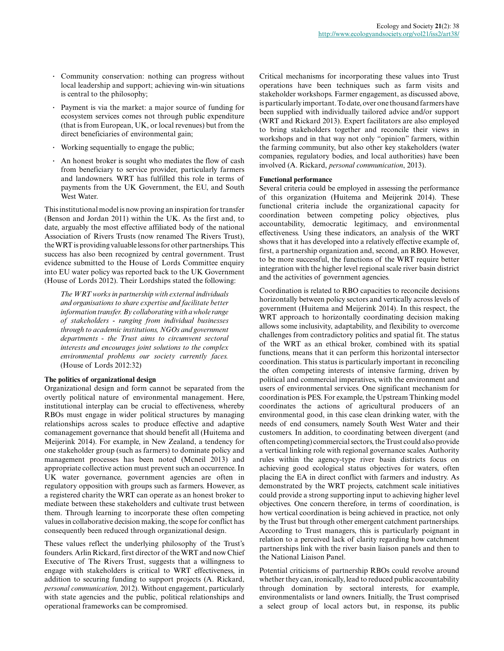- **.** Community conservation: nothing can progress without local leadership and support; achieving win-win situations is central to the philosophy;
- **.** Payment is via the market: a major source of funding for ecosystem services comes not through public expenditure (that is from European, UK, or local revenues) but from the direct beneficiaries of environmental gain;
- **.** Working sequentially to engage the public;
- **.** An honest broker is sought who mediates the flow of cash from beneficiary to service provider, particularly farmers and landowners. WRT has fulfilled this role in terms of payments from the UK Government, the EU, and South West Water.

This institutional model is now proving an inspiration for transfer (Benson and Jordan 2011) within the UK. As the first and, to date, arguably the most effective affiliated body of the national Association of Rivers Trusts (now renamed The Rivers Trust), the WRT is providing valuable lessons for other partnerships. This success has also been recognized by central government. Trust evidence submitted to the House of Lords Committee enquiry into EU water policy was reported back to the UK Government (House of Lords 2012). Their Lordships stated the following:

*The WRT works in partnership with external individuals and organisations to share expertise and facilitate better information transfer. By collaborating with a whole range of stakeholders - ranging from individual businesses through to academic institutions, NGOs and government departments - the Trust aims to circumvent sectoral interests and encourages joint solutions to the complex environmental problems our society currently faces.* (House of Lords 2012:32)

#### **The politics of organizational design**

Organizational design and form cannot be separated from the overtly political nature of environmental management. Here, institutional interplay can be crucial to effectiveness, whereby RBOs must engage in wider political structures by managing relationships across scales to produce effective and adaptive comanagement governance that should benefit all (Huitema and Meijerink 2014). For example, in New Zealand, a tendency for one stakeholder group (such as farmers) to dominate policy and management processes has been noted (Mcneil 2013) and appropriate collective action must prevent such an occurrence. In UK water governance, government agencies are often in regulatory opposition with groups such as farmers. However, as a registered charity the WRT can operate as an honest broker to mediate between these stakeholders and cultivate trust between them. Through learning to incorporate these often competing values in collaborative decision making, the scope for conflict has consequently been reduced through organizational design.

These values reflect the underlying philosophy of the Trust's founders. Arlin Rickard, first director of the WRT and now Chief Executive of The Rivers Trust, suggests that a willingness to engage with stakeholders is critical to WRT effectiveness, in addition to securing funding to support projects (A. Rickard, *personal communication,* 2012). Without engagement, particularly with state agencies and the public, political relationships and operational frameworks can be compromised.

Critical mechanisms for incorporating these values into Trust operations have been techniques such as farm visits and stakeholder workshops. Farmer engagement, as discussed above, is particularly important. To date, over one thousand farmers have been supplied with individually tailored advice and/or support (WRT and Rickard 2013). Expert facilitators are also employed to bring stakeholders together and reconcile their views in workshops and in that way not only "opinion" farmers, within the farming community, but also other key stakeholders (water companies, regulatory bodies, and local authorities) have been involved (A. Rickard, *personal communication*, 2013).

#### **Functional performance**

Several criteria could be employed in assessing the performance of this organization (Huitema and Meijerink 2014). These functional criteria include the organizational capacity for coordination between competing policy objectives, plus accountability, democratic legitimacy, and environmental effectiveness. Using these indicators, an analysis of the WRT shows that it has developed into a relatively effective example of, first, a partnership organization and, second, an RBO. However, to be more successful, the functions of the WRT require better integration with the higher level regional scale river basin district and the activities of government agencies.

Coordination is related to RBO capacities to reconcile decisions horizontally between policy sectors and vertically across levels of government (Huitema and Meijerink 2014). In this respect, the WRT approach to horizontally coordinating decision making allows some inclusivity, adaptability, and flexibility to overcome challenges from contradictory politics and spatial fit. The status of the WRT as an ethical broker, combined with its spatial functions, means that it can perform this horizontal intersector coordination. This status is particularly important in reconciling the often competing interests of intensive farming, driven by political and commercial imperatives, with the environment and users of environmental services. One significant mechanism for coordination is PES. For example, the Upstream Thinking model coordinates the actions of agricultural producers of an environmental good, in this case clean drinking water, with the needs of end consumers, namely South West Water and their customers. In addition, to coordinating between divergent (and often competing) commercial sectors, the Trust could also provide a vertical linking role with regional governance scales. Authority rules within the agency-type river basin districts focus on achieving good ecological status objectives for waters, often placing the EA in direct conflict with farmers and industry. As demonstrated by the WRT projects, catchment scale initiatives could provide a strong supporting input to achieving higher level objectives. One concern therefore, in terms of coordination, is how vertical coordination is being achieved in practice, not only by the Trust but through other emergent catchment partnerships. According to Trust managers, this is particularly poignant in relation to a perceived lack of clarity regarding how catchment partnerships link with the river basin liaison panels and then to the National Liaison Panel.

Potential criticisms of partnership RBOs could revolve around whether they can, ironically, lead to reduced public accountability through domination by sectoral interests, for example, environmentalists or land owners. Initially, the Trust comprised a select group of local actors but, in response, its public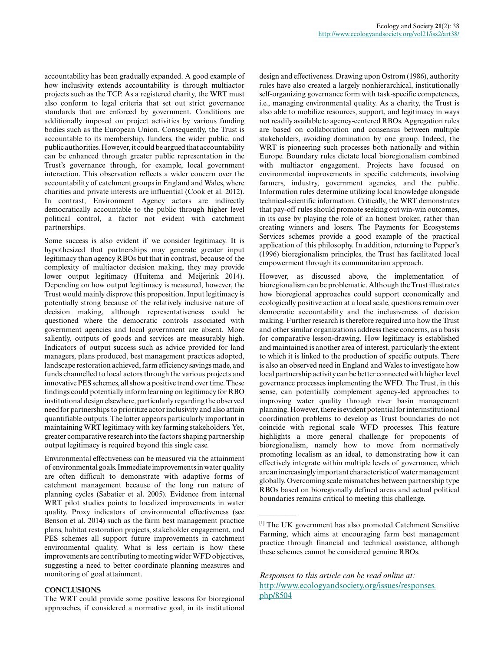accountability has been gradually expanded. A good example of how inclusivity extends accountability is through multiactor projects such as the TCP. As a registered charity, the WRT must also conform to legal criteria that set out strict governance standards that are enforced by government. Conditions are additionally imposed on project activities by various funding bodies such as the European Union. Consequently, the Trust is accountable to its membership, funders, the wider public, and public authorities. However, it could be argued that accountability can be enhanced through greater public representation in the Trust's governance through, for example, local government interaction. This observation reflects a wider concern over the accountability of catchment groups in England and Wales, where charities and private interests are influential (Cook et al. 2012). In contrast, Environment Agency actors are indirectly democratically accountable to the public through higher level political control, a factor not evident with catchment partnerships.

Some success is also evident if we consider legitimacy. It is hypothesized that partnerships may generate greater input legitimacy than agency RBOs but that in contrast, because of the complexity of multiactor decision making, they may provide lower output legitimacy (Huitema and Meijerink 2014). Depending on how output legitimacy is measured, however, the Trust would mainly disprove this proposition. Input legitimacy is potentially strong because of the relatively inclusive nature of decision making, although representativeness could be questioned where the democratic controls associated with government agencies and local government are absent. More saliently, outputs of goods and services are measurably high. Indicators of output success such as advice provided for land managers, plans produced, best management practices adopted, landscape restoration achieved, farm efficiency savings made, and funds channelled to local actors through the various projects and innovative PES schemes, all show a positive trend over time. These findings could potentially inform learning on legitimacy for RBO institutional design elsewhere, particularly regarding the observed need for partnerships to prioritize actor inclusivity and also attain quantifiable outputs. The latter appears particularly important in maintaining WRT legitimacy with key farming stakeholders. Yet, greater comparative research into the factors shaping partnership output legitimacy is required beyond this single case.

Environmental effectiveness can be measured via the attainment of environmental goals. Immediate improvements in water quality are often difficult to demonstrate with adaptive forms of catchment management because of the long run nature of planning cycles (Sabatier et al. 2005). Evidence from internal WRT pilot studies points to localized improvements in water quality. Proxy indicators of environmental effectiveness (see Benson et al. 2014) such as the farm best management practice plans, habitat restoration projects, stakeholder engagement, and PES schemes all support future improvements in catchment environmental quality. What is less certain is how these improvements are contributing to meeting wider WFD objectives, suggesting a need to better coordinate planning measures and monitoring of goal attainment.

#### **CONCLUSIONS**

design and effectiveness. Drawing upon Ostrom (1986), authority rules have also created a largely nonhierarchical, institutionally self-organizing governance form with task-specific competences, i.e., managing environmental quality. As a charity, the Trust is also able to mobilize resources, support, and legitimacy in ways not readily available to agency-centered RBOs. Aggregation rules are based on collaboration and consensus between multiple stakeholders, avoiding domination by one group. Indeed, the WRT is pioneering such processes both nationally and within Europe. Boundary rules dictate local bioregionalism combined with multiactor engagement. Projects have focused on environmental improvements in specific catchments, involving farmers, industry, government agencies, and the public. Information rules determine utilizing local knowledge alongside technical-scientific information. Critically, the WRT demonstrates that pay-off rules should promote seeking out win-win outcomes, in its case by playing the role of an honest broker, rather than creating winners and losers. The Payments for Ecosystems Services schemes provide a good example of the practical application of this philosophy. In addition, returning to Pepper's (1996) bioregionalism principles, the Trust has facilitated local empowerment through its communitarian approach.

However, as discussed above, the implementation of bioregionalism can be problematic. Although the Trust illustrates how bioregional approaches could support economically and ecologically positive action at a local scale, questions remain over democratic accountability and the inclusiveness of decision making. Further research is therefore required into how the Trust and other similar organizations address these concerns, as a basis for comparative lesson-drawing. How legitimacy is established and maintained is another area of interest, particularly the extent to which it is linked to the production of specific outputs. There is also an observed need in England and Wales to investigate how local partnership activity can be better connected with higher level governance processes implementing the WFD. The Trust, in this sense, can potentially complement agency-led approaches to improving water quality through river basin management planning. However, there is evident potential for interinstitutional coordination problems to develop as Trust boundaries do not coincide with regional scale WFD processes. This feature highlights a more general challenge for proponents of bioregionalism, namely how to move from normatively promoting localism as an ideal, to demonstrating how it can effectively integrate within multiple levels of governance, which are an increasingly important characteristic of water management globally. Overcoming scale mismatches between partnership type RBOs based on bioregionally defined areas and actual political boundaries remains critical to meeting this challenge.

 $\overline{\phantom{a}}$ 

The WRT could provide some positive lessons for bioregional approaches, if considered a normative goal, in its institutional

<sup>[1]</sup> The UK government has also promoted Catchment Sensitive Farming, which aims at encouraging farm best management practice through financial and technical assistance, although these schemes cannot be considered genuine RBOs.

*Responses to this article can be read online at:* [http://www.ecologyandsociety.org/issues/responses.](http://www.ecologyandsociety.org/issues/responses.php/8504) [php/8504](http://www.ecologyandsociety.org/issues/responses.php/8504)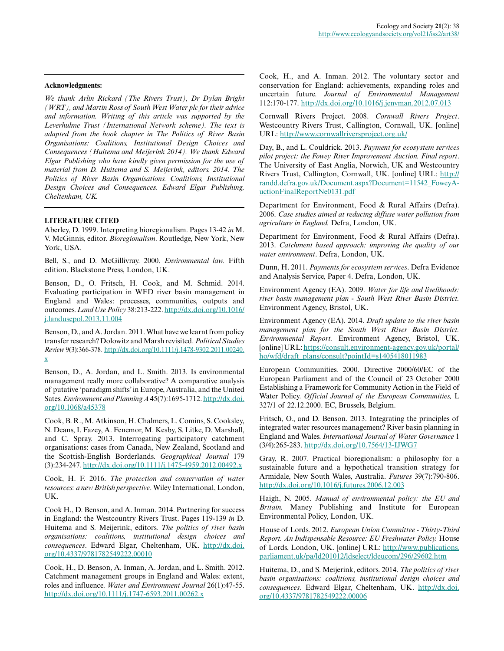#### **Acknowledgments:**

*We thank Arlin Rickard (The Rivers Trust), Dr Dylan Bright (WRT), and Martin Ross of South West Water plc for their advice and information. Writing of this article was supported by the Leverhulme Trust (International Network scheme). The text is adapted from the book chapter in The Politics of River Basin Organisations: Coalitions, Institutional Design Choices and Consequences (Huitema and Meijerink 2014). We thank Edward Elgar Publishing who have kindly given permission for the use of material from D. Huitema and S. Meijerink, editors. 2014. The Politics of River Basin Organisations. Coalitions, Institutional Design Choices and Consequences. Edward Elgar Publishing, Cheltenham, UK.*

#### **LITERATURE CITED**

Aberley, D. 1999. Interpreting bioregionalism. Pages 13-42 *in* M. V. McGinnis, editor. *Bioregionalism*. Routledge, New York, New York, USA.

Bell, S., and D. McGillivray. 2000. *Environmental law.* Fifth edition. Blackstone Press, London, UK.

Benson, D., O. Fritsch, H. Cook, and M. Schmid. 2014. Evaluating participation in WFD river basin management in England and Wales: processes, communities, outputs and outcomes. *Land Use Policy* 38:213-222. [http://dx.doi.org/10.1016/](http://dx.doi.org/10.1016%2Fj.landusepol.2013.11.004) [j.landusepol.2013.11.004](http://dx.doi.org/10.1016%2Fj.landusepol.2013.11.004)

Benson, D., and A. Jordan. 2011. What have we learnt from policy transfer research? Dolowitz and Marsh revisited. *Political Studies Review* 9(3):366-378. [http://dx.doi.org/10.1111/j.1478-9302.2011.00240.](http://dx.doi.org/10.1111%2Fj.1478-9302.2011.00240.x) [x](http://dx.doi.org/10.1111%2Fj.1478-9302.2011.00240.x)

Benson, D., A. Jordan, and L. Smith. 2013. Is environmental management really more collaborative? A comparative analysis of putative 'paradigm shifts' in Europe, Australia, and the United Sates. *Environment and Planning A* 45(7):1695-1712. [http://dx.doi.](http://dx.doi.org/10.1068%2Fa45378) [org/10.1068/a45378](http://dx.doi.org/10.1068%2Fa45378)

Cook, B. R., M. Atkinson, H. Chalmers, L. Comins, S. Cooksley, N. Deans, I. Fazey, A. Fenemor, M. Kesby, S. Litke, D. Marshall, and C. Spray. 2013. Interrogating participatory catchment organisations: cases from Canada, New Zealand, Scotland and the Scottish-English Borderlands. *Geographical Journal* 179 (3):234-247. [http://dx.doi.org/10.1111/j.1475-4959.2012.00492.x](http://dx.doi.org/10.1111%2Fj.1475-4959.2012.00492.x)

Cook, H. F. 2016. *The protection and conservation of water resources: a new British perspective*. Wiley International, London, UK.

Cook H., D. Benson, and A. Inman. 2014. Partnering for success in England: the Westcountry Rivers Trust. Pages 119-139 *in* D. Huitema and S. Meijerink, editors. *The politics of river basin organisations: coalitions, institutional design choices and consequences*. Edward Elgar, Cheltenham, UK. [http://dx.doi.](http://dx.doi.org/10.4337%2F9781782549222.00010) [org/10.4337/9781782549222.00010](http://dx.doi.org/10.4337%2F9781782549222.00010) 

Cook, H., D. Benson, A. Inman, A. Jordan, and L. Smith. 2012. Catchment management groups in England and Wales: extent, roles and influence. *Water and Environment Journal* 26(1):47-55. [http://dx.doi.org/10.1111/j.1747-6593.2011.00262.x](http://dx.doi.org/10.1111%2Fj.1747-6593.2011.00262.x) 

Cook, H., and A. Inman. 2012. The voluntary sector and conservation for England: achievements, expanding roles and uncertain future. *Journal of Environmental Management* 112:170-177. [http://dx.doi.org/10.1016/j.jenvman.2012.07.013](http://dx.doi.org/10.1016%2Fj.jenvman.2012.07.013)

Cornwall Rivers Project. 2008. *Cornwall Rivers Project*. Westcountry Rivers Trust, Callington, Cornwall, UK. [online] URL:<http://www.cornwallriversproject.org.uk/>

Day, B., and L. Couldrick. 2013. *Payment for ecosystem services pilot project: the Fowey River Improvement Auction. Final report*. The University of East Anglia, Norwich, UK and Westcountry Rivers Trust, Callington, Cornwall, UK. [online] URL: [http://](http://randd.defra.gov.uk/Document.aspx?Document=11542_FoweyAuctionFinalReportNe0131.pdf) [randd.defra.gov.uk/Document.aspx?Document=11542\\_FoweyA](http://randd.defra.gov.uk/Document.aspx?Document=11542_FoweyAuctionFinalReportNe0131.pdf)[uctionFinalReportNe0131.pdf](http://randd.defra.gov.uk/Document.aspx?Document=11542_FoweyAuctionFinalReportNe0131.pdf)

Department for Environment, Food & Rural Affairs (Defra). 2006. *Case studies aimed at reducing diffuse water pollution from agriculture in England.* Defra, London, UK.

Department for Environment, Food & Rural Affairs (Defra). 2013. *Catchment based approach: improving the quality of our water environment*. Defra, London, UK.

Dunn, H. 2011. *Payments for ecosystem services*. Defra Evidence and Analysis Service, Paper 4. Defra, London, UK.

Environment Agency (EA). 2009. *Water for life and livelihoods: river basin management plan - South West River Basin District.* Environment Agency, Bristol, UK.

Environment Agency (EA). 2014. *Draft update to the river basin management plan for the South West River Basin District. Environmental Report.* Environment Agency, Bristol, UK. [online] URL: [https://consult.environment-agency.gov.uk/portal/](https://consult.environment-agency.gov.uk/portal/ho/wfd/draft_plans/consult?pointId=s1405418011983) [ho/wfd/draft\\_plans/consult?pointId=s1405418011983](https://consult.environment-agency.gov.uk/portal/ho/wfd/draft_plans/consult?pointId=s1405418011983) 

European Communities. 2000. Directive 2000/60/EC of the European Parliament and of the Council of 23 October 2000 Establishing a Framework for Community Action in the Field of Water Policy. *Official Journal of the European Communities,* L 327/1 of 22.12.2000. EC, Brussels, Belgium.

Fritsch, O., and D. Benson. 2013. Integrating the principles of integrated water resources management? River basin planning in England and Wales. *International Journal of Water Governance* 1 (3/4):265-283. [http://dx.doi.org/10.7564/13-IJWG7](http://dx.doi.org/10.7564%2F13-IJWG7) 

Gray, R. 2007. Practical bioregionalism: a philosophy for a sustainable future and a hypothetical transition strategy for Armidale, New South Wales, Australia. *Futures* 39(7):790-806. [http://dx.doi.org/10.1016/j.futures.2006.12.003](http://dx.doi.org/10.1016%2Fj.futures.2006.12.003)

Haigh, N. 2005. *Manual of environmental policy: the EU and Britain.* Maney Publishing and Institute for European Environmental Policy, London, UK.

House of Lords. 2012. *European Union Committee - Thirty-Third Report. An Indispensable Resource: EU Freshwater Policy.* House of Lords, London, UK. [online] URL: [http://www.publications.](http://www.publications.parliament.uk/pa/ld201012/ldselect/ldeucom/296/29602.htm) [parliament.uk/pa/ld201012/ldselect/ldeucom/296/29602.htm](http://www.publications.parliament.uk/pa/ld201012/ldselect/ldeucom/296/29602.htm) 

Huitema, D., and S. Meijerink, editors. 2014. *The politics of river basin organisations: coalitions, institutional design choices and consequences*. Edward Elgar, Cheltenham, UK. [http://dx.doi.](http://dx.doi.org/10.4337%2F9781782549222.00006) [org/10.4337/9781782549222.00006](http://dx.doi.org/10.4337%2F9781782549222.00006)